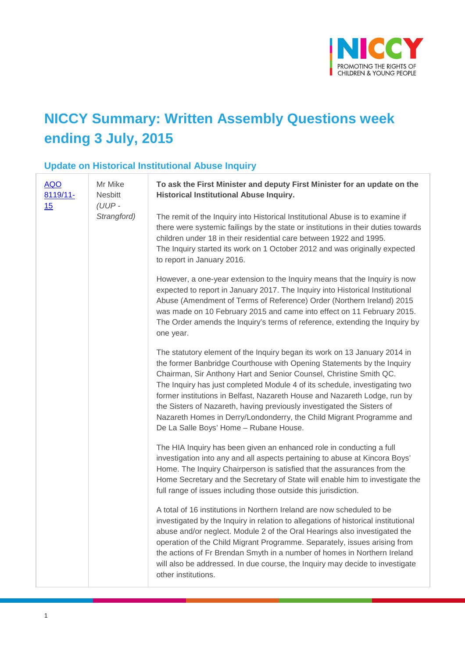

# **NICCY Summary: Written Assembly Questions week ending 3 July, 2015**

### **Update on Historical Institutional Abuse Inquiry**

| <b>AQO</b><br>8119/11-<br>15 | Mr Mike<br><b>Nesbitt</b><br>(UUP-<br>Strangford) | To ask the First Minister and deputy First Minister for an update on the<br><b>Historical Institutional Abuse Inquiry.</b>                                                                                                                                                                                                                                                                                                                                                                                                                                                       |
|------------------------------|---------------------------------------------------|----------------------------------------------------------------------------------------------------------------------------------------------------------------------------------------------------------------------------------------------------------------------------------------------------------------------------------------------------------------------------------------------------------------------------------------------------------------------------------------------------------------------------------------------------------------------------------|
|                              |                                                   | The remit of the Inquiry into Historical Institutional Abuse is to examine if<br>there were systemic failings by the state or institutions in their duties towards<br>children under 18 in their residential care between 1922 and 1995.<br>The Inquiry started its work on 1 October 2012 and was originally expected<br>to report in January 2016.                                                                                                                                                                                                                             |
|                              |                                                   | However, a one-year extension to the Inquiry means that the Inquiry is now<br>expected to report in January 2017. The Inquiry into Historical Institutional<br>Abuse (Amendment of Terms of Reference) Order (Northern Ireland) 2015<br>was made on 10 February 2015 and came into effect on 11 February 2015.<br>The Order amends the Inquiry's terms of reference, extending the Inquiry by<br>one year.                                                                                                                                                                       |
|                              |                                                   | The statutory element of the Inquiry began its work on 13 January 2014 in<br>the former Banbridge Courthouse with Opening Statements by the Inquiry<br>Chairman, Sir Anthony Hart and Senior Counsel, Christine Smith QC.<br>The Inquiry has just completed Module 4 of its schedule, investigating two<br>former institutions in Belfast, Nazareth House and Nazareth Lodge, run by<br>the Sisters of Nazareth, having previously investigated the Sisters of<br>Nazareth Homes in Derry/Londonderry, the Child Migrant Programme and<br>De La Salle Boys' Home - Rubane House. |
|                              |                                                   | The HIA Inquiry has been given an enhanced role in conducting a full<br>investigation into any and all aspects pertaining to abuse at Kincora Boys'<br>Home. The Inquiry Chairperson is satisfied that the assurances from the<br>Home Secretary and the Secretary of State will enable him to investigate the<br>full range of issues including those outside this jurisdiction.                                                                                                                                                                                                |
|                              |                                                   | A total of 16 institutions in Northern Ireland are now scheduled to be<br>investigated by the Inquiry in relation to allegations of historical institutional<br>abuse and/or neglect. Module 2 of the Oral Hearings also investigated the<br>operation of the Child Migrant Programme. Separately, issues arising from<br>the actions of Fr Brendan Smyth in a number of homes in Northern Ireland<br>will also be addressed. In due course, the Inquiry may decide to investigate<br>other institutions.                                                                        |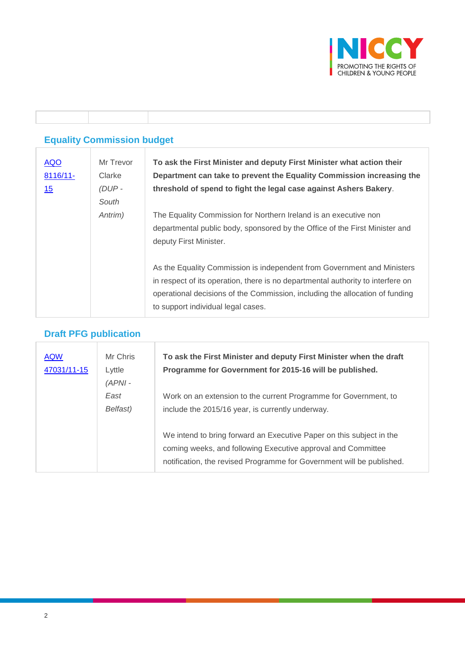

### **Equality Commission budget**

Τ

ı

T

| <b>AQO</b><br>8116/11- | Mr Trevor<br>Clarke | To ask the First Minister and deputy First Minister what action their<br>Department can take to prevent the Equality Commission increasing the |
|------------------------|---------------------|------------------------------------------------------------------------------------------------------------------------------------------------|
| <u>15</u>              | $(DUP -$            | threshold of spend to fight the legal case against Ashers Bakery.                                                                              |
|                        | South               |                                                                                                                                                |
|                        | Antrim)             | The Equality Commission for Northern Ireland is an executive non                                                                               |
|                        |                     | departmental public body, sponsored by the Office of the First Minister and                                                                    |
|                        |                     | deputy First Minister.                                                                                                                         |
|                        |                     |                                                                                                                                                |
|                        |                     | As the Equality Commission is independent from Government and Ministers                                                                        |
|                        |                     | in respect of its operation, there is no departmental authority to interfere on                                                                |
|                        |                     | operational decisions of the Commission, including the allocation of funding                                                                   |
|                        |                     | to support individual legal cases.                                                                                                             |

# **Draft PFG publication**

| <b>AQW</b><br>47031/11-15 | Mr Chris<br>Lyttle<br>$(APNI -$ | To ask the First Minister and deputy First Minister when the draft<br>Programme for Government for 2015-16 will be published.                                                                                 |
|---------------------------|---------------------------------|---------------------------------------------------------------------------------------------------------------------------------------------------------------------------------------------------------------|
|                           | East<br>Belfast)                | Work on an extension to the current Programme for Government, to<br>include the 2015/16 year, is currently underway.                                                                                          |
|                           |                                 | We intend to bring forward an Executive Paper on this subject in the<br>coming weeks, and following Executive approval and Committee<br>notification, the revised Programme for Government will be published. |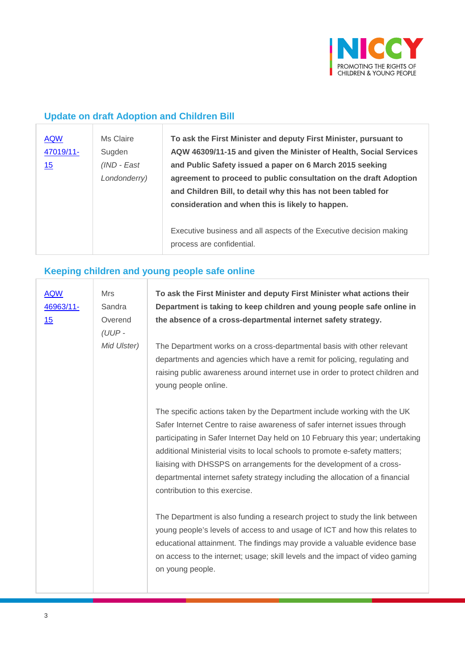

## **Update on draft Adoption and Children Bill**

| <b>AQW</b><br>47019/11-<br>15 | Ms Claire<br>Sugden<br>(IND - East<br>Londonderry) | To ask the First Minister and deputy First Minister, pursuant to<br>AQW 46309/11-15 and given the Minister of Health, Social Services<br>and Public Safety issued a paper on 6 March 2015 seeking<br>agreement to proceed to public consultation on the draft Adoption<br>and Children Bill, to detail why this has not been tabled for<br>consideration and when this is likely to happen. |
|-------------------------------|----------------------------------------------------|---------------------------------------------------------------------------------------------------------------------------------------------------------------------------------------------------------------------------------------------------------------------------------------------------------------------------------------------------------------------------------------------|
|                               |                                                    | Executive business and all aspects of the Executive decision making<br>process are confidential.                                                                                                                                                                                                                                                                                            |

### **Keeping children and young people safe online**

| <b>AQW</b><br>46963/11-<br>15 | <b>Mrs</b><br>Sandra<br>Overend<br>$(UUP -$<br>Mid Ulster) | To ask the First Minister and deputy First Minister what actions their<br>Department is taking to keep children and young people safe online in<br>the absence of a cross-departmental internet safety strategy.<br>The Department works on a cross-departmental basis with other relevant<br>departments and agencies which have a remit for policing, regulating and                                                                                                                                            |
|-------------------------------|------------------------------------------------------------|-------------------------------------------------------------------------------------------------------------------------------------------------------------------------------------------------------------------------------------------------------------------------------------------------------------------------------------------------------------------------------------------------------------------------------------------------------------------------------------------------------------------|
|                               |                                                            | raising public awareness around internet use in order to protect children and<br>young people online.                                                                                                                                                                                                                                                                                                                                                                                                             |
|                               |                                                            | The specific actions taken by the Department include working with the UK<br>Safer Internet Centre to raise awareness of safer internet issues through<br>participating in Safer Internet Day held on 10 February this year; undertaking<br>additional Ministerial visits to local schools to promote e-safety matters;<br>liaising with DHSSPS on arrangements for the development of a cross-<br>departmental internet safety strategy including the allocation of a financial<br>contribution to this exercise. |
|                               |                                                            | The Department is also funding a research project to study the link between<br>young people's levels of access to and usage of ICT and how this relates to<br>educational attainment. The findings may provide a valuable evidence base<br>on access to the internet; usage; skill levels and the impact of video gaming<br>on young people.                                                                                                                                                                      |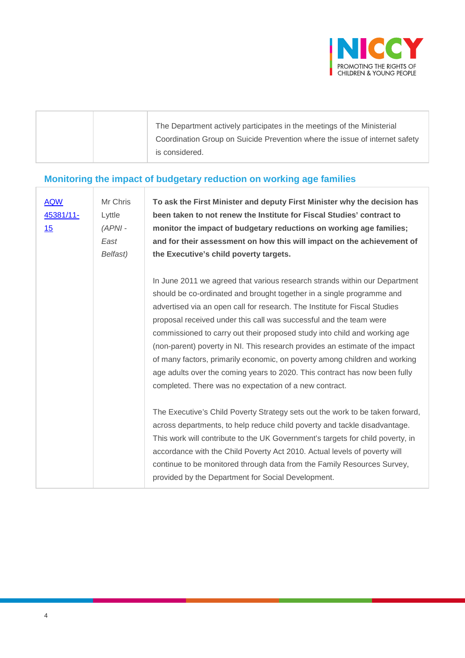

|  | The Department actively participates in the meetings of the Ministerial     |
|--|-----------------------------------------------------------------------------|
|  | Coordination Group on Suicide Prevention where the issue of internet safety |
|  | is considered.                                                              |
|  |                                                                             |

## **Monitoring the impact of budgetary reduction on working age families**

| <b>AQW</b><br>45381/11-<br>15 | Mr Chris<br>Lyttle<br>$(APNI -$<br>East<br>Belfast) | To ask the First Minister and deputy First Minister why the decision has<br>been taken to not renew the Institute for Fiscal Studies' contract to<br>monitor the impact of budgetary reductions on working age families;<br>and for their assessment on how this will impact on the achievement of<br>the Executive's child poverty targets.                                                                                                                                                                                                                                                                                                                                               |
|-------------------------------|-----------------------------------------------------|--------------------------------------------------------------------------------------------------------------------------------------------------------------------------------------------------------------------------------------------------------------------------------------------------------------------------------------------------------------------------------------------------------------------------------------------------------------------------------------------------------------------------------------------------------------------------------------------------------------------------------------------------------------------------------------------|
|                               |                                                     | In June 2011 we agreed that various research strands within our Department<br>should be co-ordinated and brought together in a single programme and<br>advertised via an open call for research. The Institute for Fiscal Studies<br>proposal received under this call was successful and the team were<br>commissioned to carry out their proposed study into child and working age<br>(non-parent) poverty in NI. This research provides an estimate of the impact<br>of many factors, primarily economic, on poverty among children and working<br>age adults over the coming years to 2020. This contract has now been fully<br>completed. There was no expectation of a new contract. |
|                               |                                                     | The Executive's Child Poverty Strategy sets out the work to be taken forward,<br>across departments, to help reduce child poverty and tackle disadvantage.<br>This work will contribute to the UK Government's targets for child poverty, in<br>accordance with the Child Poverty Act 2010. Actual levels of poverty will<br>continue to be monitored through data from the Family Resources Survey,<br>provided by the Department for Social Development.                                                                                                                                                                                                                                 |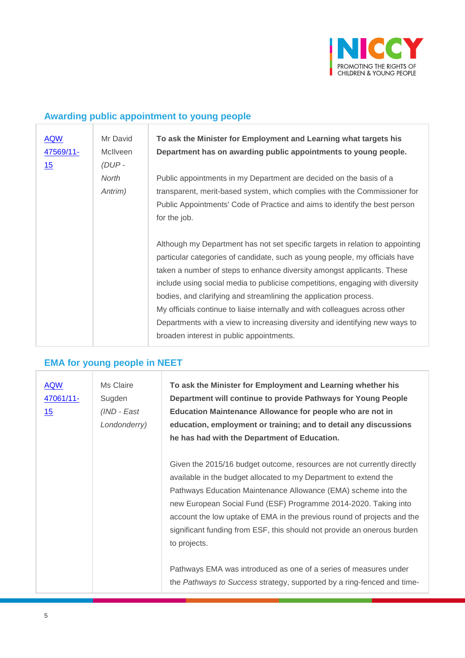

## **Awarding public appointment to young people**

| <b>AQW</b><br>47569/11-<br>15 | Mr David<br><b>McIlveen</b><br>$(DUP -$ | To ask the Minister for Employment and Learning what targets his<br>Department has on awarding public appointments to young people.                                                                                                                                                                                                                                                                                                                                                                                                                                                                   |
|-------------------------------|-----------------------------------------|-------------------------------------------------------------------------------------------------------------------------------------------------------------------------------------------------------------------------------------------------------------------------------------------------------------------------------------------------------------------------------------------------------------------------------------------------------------------------------------------------------------------------------------------------------------------------------------------------------|
|                               | North<br>Antrim)                        | Public appointments in my Department are decided on the basis of a<br>transparent, merit-based system, which complies with the Commissioner for<br>Public Appointments' Code of Practice and aims to identify the best person<br>for the job.                                                                                                                                                                                                                                                                                                                                                         |
|                               |                                         | Although my Department has not set specific targets in relation to appointing<br>particular categories of candidate, such as young people, my officials have<br>taken a number of steps to enhance diversity amongst applicants. These<br>include using social media to publicise competitions, engaging with diversity<br>bodies, and clarifying and streamlining the application process.<br>My officials continue to liaise internally and with colleagues across other<br>Departments with a view to increasing diversity and identifying new ways to<br>broaden interest in public appointments. |

## **EMA for young people in NEET**

| <b>AQW</b><br>47061/11-<br><u>15</u> | Ms Claire<br>Sugden<br>(IND - East<br>Londonderry) | To ask the Minister for Employment and Learning whether his<br>Department will continue to provide Pathways for Young People<br>Education Maintenance Allowance for people who are not in<br>education, employment or training; and to detail any discussions<br>he has had with the Department of Education.                                                                                                                                         |
|--------------------------------------|----------------------------------------------------|-------------------------------------------------------------------------------------------------------------------------------------------------------------------------------------------------------------------------------------------------------------------------------------------------------------------------------------------------------------------------------------------------------------------------------------------------------|
|                                      |                                                    | Given the 2015/16 budget outcome, resources are not currently directly<br>available in the budget allocated to my Department to extend the<br>Pathways Education Maintenance Allowance (EMA) scheme into the<br>new European Social Fund (ESF) Programme 2014-2020. Taking into<br>account the low uptake of EMA in the previous round of projects and the<br>significant funding from ESF, this should not provide an onerous burden<br>to projects. |
|                                      |                                                    | Pathways EMA was introduced as one of a series of measures under<br>the Pathways to Success strategy, supported by a ring-fenced and time-                                                                                                                                                                                                                                                                                                            |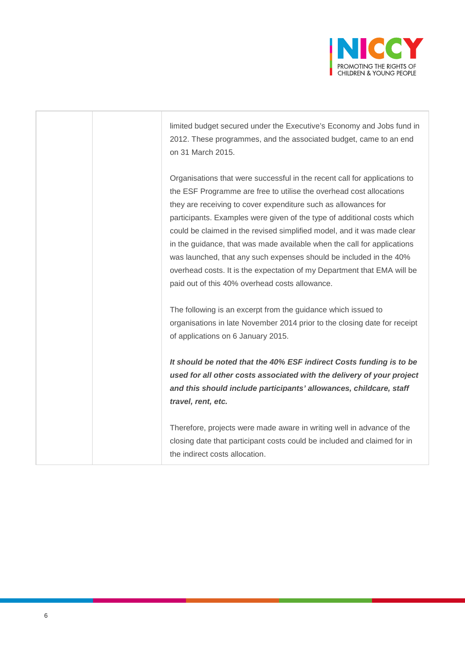

limited budget secured under the Executive's Economy and Jobs fund in 2012. These programmes, and the associated budget, came to an end on 31 March 2015.

Organisations that were successful in the recent call for applications to the ESF Programme are free to utilise the overhead cost allocations they are receiving to cover expenditure such as allowances for participants. Examples were given of the type of additional costs which could be claimed in the revised simplified model, and it was made clear in the guidance, that was made available when the call for applications was launched, that any such expenses should be included in the 40% overhead costs. It is the expectation of my Department that EMA will be paid out of this 40% overhead costs allowance.

The following is an excerpt from the guidance which issued to organisations in late November 2014 prior to the closing date for receipt of applications on 6 January 2015.

*It should be noted that the 40% ESF indirect Costs funding is to be used for all other costs associated with the delivery of your project and this should include participants' allowances, childcare, staff travel, rent, etc.*

Therefore, projects were made aware in writing well in advance of the closing date that participant costs could be included and claimed for in the indirect costs allocation.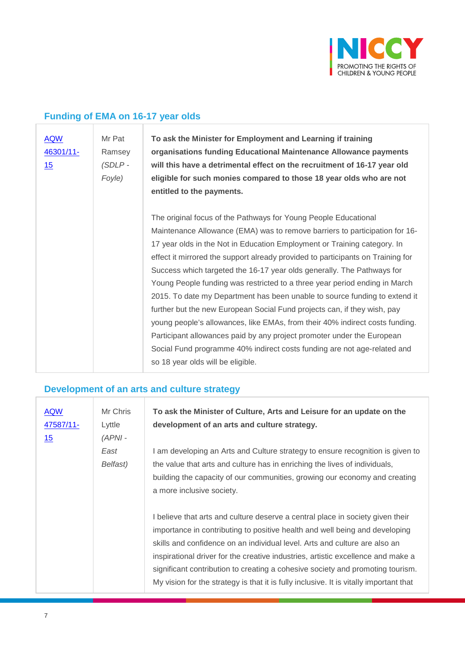

## **Funding of EMA on 16-17 year olds**

| <b>AQW</b><br>46301/11-<br>15 | Mr Pat<br>Ramsey<br>$(SDLP -$<br>Foyle) | To ask the Minister for Employment and Learning if training<br>organisations funding Educational Maintenance Allowance payments<br>will this have a detrimental effect on the recruitment of 16-17 year old<br>eligible for such monies compared to those 18 year olds who are not<br>entitled to the payments. |
|-------------------------------|-----------------------------------------|-----------------------------------------------------------------------------------------------------------------------------------------------------------------------------------------------------------------------------------------------------------------------------------------------------------------|
|                               |                                         | The original focus of the Pathways for Young People Educational                                                                                                                                                                                                                                                 |
|                               |                                         | Maintenance Allowance (EMA) was to remove barriers to participation for 16-                                                                                                                                                                                                                                     |
|                               |                                         | 17 year olds in the Not in Education Employment or Training category. In                                                                                                                                                                                                                                        |
|                               |                                         | effect it mirrored the support already provided to participants on Training for                                                                                                                                                                                                                                 |
|                               |                                         | Success which targeted the 16-17 year olds generally. The Pathways for                                                                                                                                                                                                                                          |
|                               |                                         | Young People funding was restricted to a three year period ending in March                                                                                                                                                                                                                                      |
|                               |                                         | 2015. To date my Department has been unable to source funding to extend it                                                                                                                                                                                                                                      |
|                               |                                         | further but the new European Social Fund projects can, if they wish, pay                                                                                                                                                                                                                                        |
|                               |                                         | young people's allowances, like EMAs, from their 40% indirect costs funding.                                                                                                                                                                                                                                    |
|                               |                                         | Participant allowances paid by any project promoter under the European                                                                                                                                                                                                                                          |
|                               |                                         | Social Fund programme 40% indirect costs funding are not age-related and                                                                                                                                                                                                                                        |
|                               |                                         | so 18 year olds will be eligible.                                                                                                                                                                                                                                                                               |

### **Development of an arts and culture strategy**

| <b>AQW</b><br>47587/11-<br>15 | Mr Chris<br>Lyttle<br>$(APNI -$ | To ask the Minister of Culture, Arts and Leisure for an update on the<br>development of an arts and culture strategy.                                                                                                                                                                                                                                                                                                                                                                                       |
|-------------------------------|---------------------------------|-------------------------------------------------------------------------------------------------------------------------------------------------------------------------------------------------------------------------------------------------------------------------------------------------------------------------------------------------------------------------------------------------------------------------------------------------------------------------------------------------------------|
|                               | East<br>Belfast)                | I am developing an Arts and Culture strategy to ensure recognition is given to<br>the value that arts and culture has in enriching the lives of individuals,                                                                                                                                                                                                                                                                                                                                                |
|                               |                                 | building the capacity of our communities, growing our economy and creating<br>a more inclusive society.                                                                                                                                                                                                                                                                                                                                                                                                     |
|                               |                                 | I believe that arts and culture deserve a central place in society given their<br>importance in contributing to positive health and well being and developing<br>skills and confidence on an individual level. Arts and culture are also an<br>inspirational driver for the creative industries, artistic excellence and make a<br>significant contribution to creating a cohesive society and promoting tourism.<br>My vision for the strategy is that it is fully inclusive. It is vitally important that |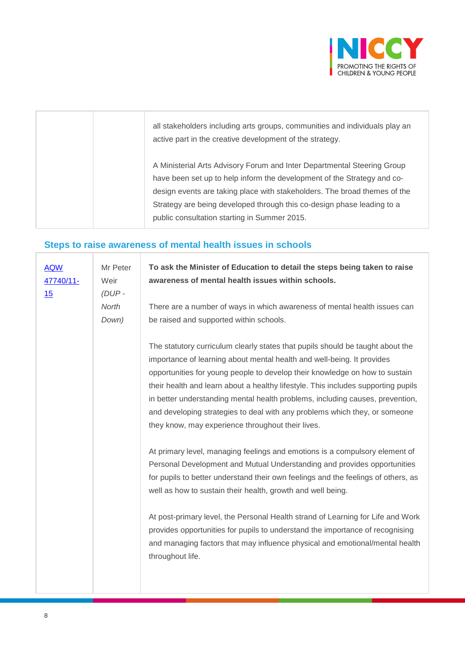

| all stakeholders including arts groups, communities and individuals play an<br>active part in the creative development of the strategy.            |
|----------------------------------------------------------------------------------------------------------------------------------------------------|
| A Ministerial Arts Advisory Forum and Inter Departmental Steering Group<br>have been set up to help inform the development of the Strategy and co- |
| design events are taking place with stakeholders. The broad themes of the                                                                          |
| Strategy are being developed through this co-design phase leading to a                                                                             |
| public consultation starting in Summer 2015.                                                                                                       |

# **Steps to raise awareness of mental health issues in schools**

| Mr Peter<br>Weir | To ask the Minister of Education to detail the steps being taken to raise<br>awareness of mental health issues within schools.                                                                                                                                                                                                                                                                                                                                                                                                                                                      |
|------------------|-------------------------------------------------------------------------------------------------------------------------------------------------------------------------------------------------------------------------------------------------------------------------------------------------------------------------------------------------------------------------------------------------------------------------------------------------------------------------------------------------------------------------------------------------------------------------------------|
| North<br>Down)   | There are a number of ways in which awareness of mental health issues can<br>be raised and supported within schools.                                                                                                                                                                                                                                                                                                                                                                                                                                                                |
|                  | The statutory curriculum clearly states that pupils should be taught about the<br>importance of learning about mental health and well-being. It provides<br>opportunities for young people to develop their knowledge on how to sustain<br>their health and learn about a healthy lifestyle. This includes supporting pupils<br>in better understanding mental health problems, including causes, prevention,<br>and developing strategies to deal with any problems which they, or someone<br>they know, may experience throughout their lives.                                    |
|                  | At primary level, managing feelings and emotions is a compulsory element of<br>Personal Development and Mutual Understanding and provides opportunities<br>for pupils to better understand their own feelings and the feelings of others, as<br>well as how to sustain their health, growth and well being.<br>At post-primary level, the Personal Health strand of Learning for Life and Work<br>provides opportunities for pupils to understand the importance of recognising<br>and managing factors that may influence physical and emotional/mental health<br>throughout life. |
|                  | $(DUP -$                                                                                                                                                                                                                                                                                                                                                                                                                                                                                                                                                                            |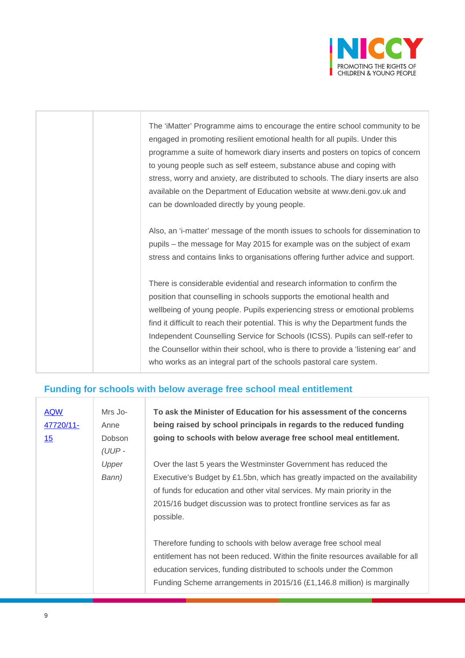

| The 'iMatter' Programme aims to encourage the entire school community to be       |
|-----------------------------------------------------------------------------------|
| engaged in promoting resilient emotional health for all pupils. Under this        |
| programme a suite of homework diary inserts and posters on topics of concern      |
| to young people such as self esteem, substance abuse and coping with              |
| stress, worry and anxiety, are distributed to schools. The diary inserts are also |
| available on the Department of Education website at www.deni.gov.uk and           |
| can be downloaded directly by young people.                                       |
|                                                                                   |
| Also, an 'i-matter' message of the month issues to schools for dissemination to   |
| pupils – the message for May 2015 for example was on the subject of exam          |
| stress and contains links to organisations offering further advice and support.   |
|                                                                                   |
| There is considerable evidential and research information to confirm the          |
| position that counselling in schools supports the emotional health and            |
| wellbeing of young people. Pupils experiencing stress or emotional problems       |
| find it difficult to reach their potential. This is why the Department funds the  |
| Independent Counselling Service for Schools (ICSS). Pupils can self-refer to      |

the Counsellor within their school, who is there to provide a 'listening ear' and

who works as an integral part of the schools pastoral care system.

#### **Funding for schools with below average free school meal entitlement**

ı

| <b>AQW</b><br>47720/11-<br>15 | Mrs Jo-<br>Anne<br><b>Dobson</b><br>(UUP- | To ask the Minister of Education for his assessment of the concerns<br>being raised by school principals in regards to the reduced funding<br>going to schools with below average free school meal entitlement.                                                                                                    |
|-------------------------------|-------------------------------------------|--------------------------------------------------------------------------------------------------------------------------------------------------------------------------------------------------------------------------------------------------------------------------------------------------------------------|
|                               | Upper<br>Bann)                            | Over the last 5 years the Westminster Government has reduced the<br>Executive's Budget by £1.5bn, which has greatly impacted on the availability<br>of funds for education and other vital services. My main priority in the<br>2015/16 budget discussion was to protect frontline services as far as<br>possible. |
|                               |                                           | Therefore funding to schools with below average free school meal<br>entitlement has not been reduced. Within the finite resources available for all<br>education services, funding distributed to schools under the Common<br>Funding Scheme arrangements in 2015/16 (£1,146.8 million) is marginally              |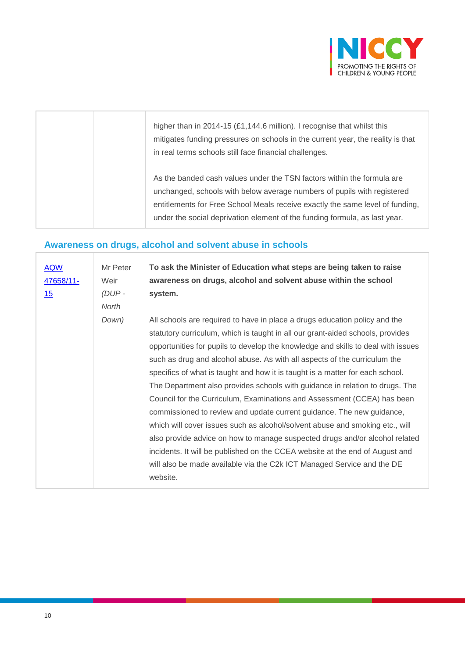

|  | higher than in 2014-15 $(E1, 144.6 \text{ million})$ . I recognise that whilst this<br>mitigates funding pressures on schools in the current year, the reality is that<br>in real terms schools still face financial challenges.                                                                                 |
|--|------------------------------------------------------------------------------------------------------------------------------------------------------------------------------------------------------------------------------------------------------------------------------------------------------------------|
|  | As the banded cash values under the TSN factors within the formula are<br>unchanged, schools with below average numbers of pupils with registered<br>entitlements for Free School Meals receive exactly the same level of funding,<br>under the social deprivation element of the funding formula, as last year. |

# **Awareness on drugs, alcohol and solvent abuse in schools**

| <b>AQW</b><br>47658/11-<br>15 | Mr Peter<br>Weir<br>(DUP-<br>North | To ask the Minister of Education what steps are being taken to raise<br>awareness on drugs, alcohol and solvent abuse within the school<br>system.                                                                                                                                                                                                                                                                                                                                                                                                                                                                                                                                                                                                                                                                                                                                                                                                                                      |
|-------------------------------|------------------------------------|-----------------------------------------------------------------------------------------------------------------------------------------------------------------------------------------------------------------------------------------------------------------------------------------------------------------------------------------------------------------------------------------------------------------------------------------------------------------------------------------------------------------------------------------------------------------------------------------------------------------------------------------------------------------------------------------------------------------------------------------------------------------------------------------------------------------------------------------------------------------------------------------------------------------------------------------------------------------------------------------|
|                               | Down)                              | All schools are required to have in place a drugs education policy and the<br>statutory curriculum, which is taught in all our grant-aided schools, provides<br>opportunities for pupils to develop the knowledge and skills to deal with issues<br>such as drug and alcohol abuse. As with all aspects of the curriculum the<br>specifics of what is taught and how it is taught is a matter for each school.<br>The Department also provides schools with guidance in relation to drugs. The<br>Council for the Curriculum, Examinations and Assessment (CCEA) has been<br>commissioned to review and update current guidance. The new guidance,<br>which will cover issues such as alcohol/solvent abuse and smoking etc., will<br>also provide advice on how to manage suspected drugs and/or alcohol related<br>incidents. It will be published on the CCEA website at the end of August and<br>will also be made available via the C2k ICT Managed Service and the DE<br>website. |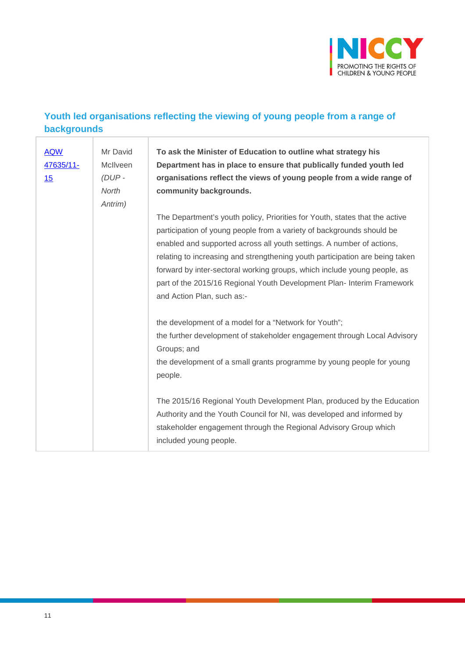

### **Youth led organisations reflecting the viewing of young people from a range of backgrounds**

| <b>AQW</b><br>47635/11-<br>15 | Mr David<br>McIlveen<br>$(DUP -$<br>North<br>Antrim) | To ask the Minister of Education to outline what strategy his<br>Department has in place to ensure that publically funded youth led<br>organisations reflect the views of young people from a wide range of<br>community backgrounds.                                                                                                                                                                                                                                                             |
|-------------------------------|------------------------------------------------------|---------------------------------------------------------------------------------------------------------------------------------------------------------------------------------------------------------------------------------------------------------------------------------------------------------------------------------------------------------------------------------------------------------------------------------------------------------------------------------------------------|
|                               |                                                      | The Department's youth policy, Priorities for Youth, states that the active<br>participation of young people from a variety of backgrounds should be<br>enabled and supported across all youth settings. A number of actions,<br>relating to increasing and strengthening youth participation are being taken<br>forward by inter-sectoral working groups, which include young people, as<br>part of the 2015/16 Regional Youth Development Plan- Interim Framework<br>and Action Plan, such as:- |
|                               |                                                      | the development of a model for a "Network for Youth";<br>the further development of stakeholder engagement through Local Advisory<br>Groups; and<br>the development of a small grants programme by young people for young<br>people.                                                                                                                                                                                                                                                              |
|                               |                                                      | The 2015/16 Regional Youth Development Plan, produced by the Education<br>Authority and the Youth Council for NI, was developed and informed by<br>stakeholder engagement through the Regional Advisory Group which<br>included young people.                                                                                                                                                                                                                                                     |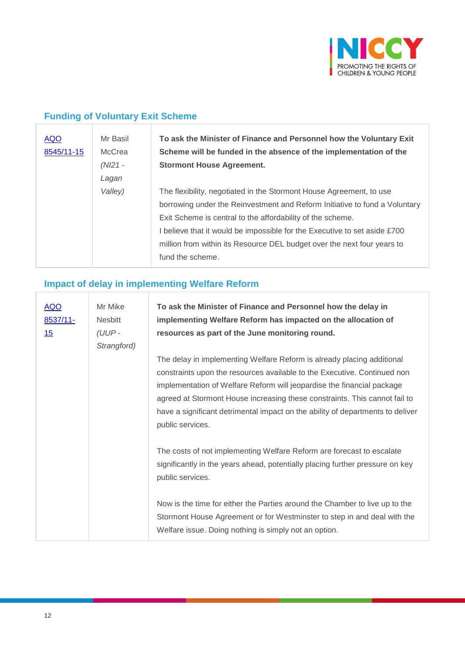

## **Funding of Voluntary Exit Scheme**

| <b>AQO</b><br>8545/11-15 | Mr Basil<br>McCrea<br>$(NI21 -$ | To ask the Minister of Finance and Personnel how the Voluntary Exit<br>Scheme will be funded in the absence of the implementation of the<br><b>Stormont House Agreement.</b> |
|--------------------------|---------------------------------|------------------------------------------------------------------------------------------------------------------------------------------------------------------------------|
|                          | Lagan                           |                                                                                                                                                                              |
|                          | Valley)                         | The flexibility, negotiated in the Stormont House Agreement, to use                                                                                                          |
|                          |                                 | borrowing under the Reinvestment and Reform Initiative to fund a Voluntary                                                                                                   |
|                          |                                 | Exit Scheme is central to the affordability of the scheme.                                                                                                                   |
|                          |                                 | I believe that it would be impossible for the Executive to set aside £700                                                                                                    |
|                          |                                 | million from within its Resource DEL budget over the next four years to                                                                                                      |
|                          |                                 | fund the scheme.                                                                                                                                                             |
|                          |                                 |                                                                                                                                                                              |

# **Impact of delay in implementing Welfare Reform**

| <b>AQO</b><br>8537/11-<br><u>15</u> | Mr Mike<br><b>Nesbitt</b><br>(UUP-<br>Strangford) | To ask the Minister of Finance and Personnel how the delay in<br>implementing Welfare Reform has impacted on the allocation of<br>resources as part of the June monitoring round.                                                                                                                                                                                                                                |
|-------------------------------------|---------------------------------------------------|------------------------------------------------------------------------------------------------------------------------------------------------------------------------------------------------------------------------------------------------------------------------------------------------------------------------------------------------------------------------------------------------------------------|
|                                     |                                                   | The delay in implementing Welfare Reform is already placing additional<br>constraints upon the resources available to the Executive. Continued non<br>implementation of Welfare Reform will jeopardise the financial package<br>agreed at Stormont House increasing these constraints. This cannot fail to<br>have a significant detrimental impact on the ability of departments to deliver<br>public services. |
|                                     |                                                   | The costs of not implementing Welfare Reform are forecast to escalate<br>significantly in the years ahead, potentially placing further pressure on key<br>public services.                                                                                                                                                                                                                                       |
|                                     |                                                   | Now is the time for either the Parties around the Chamber to live up to the<br>Stormont House Agreement or for Westminster to step in and deal with the<br>Welfare issue. Doing nothing is simply not an option.                                                                                                                                                                                                 |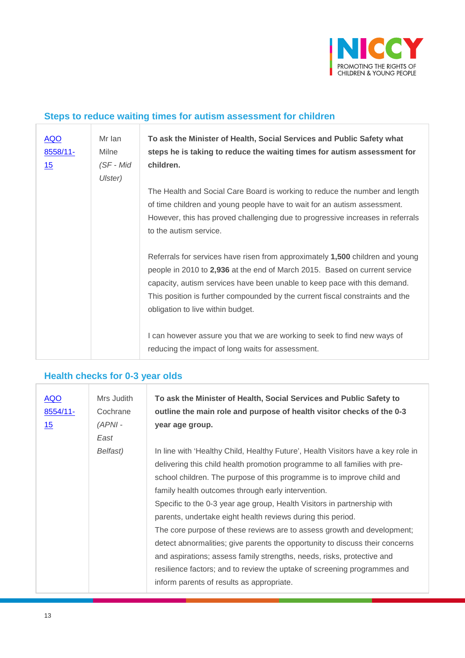

#### **Steps to reduce waiting times for autism assessment for children**

| <b>AQO</b><br>8558/11-<br>15 | Mr Ian<br>Milne<br>$(SF - Mid)$<br>Ulster) | To ask the Minister of Health, Social Services and Public Safety what<br>steps he is taking to reduce the waiting times for autism assessment for<br>children.                                                                                                                                                                                                 |
|------------------------------|--------------------------------------------|----------------------------------------------------------------------------------------------------------------------------------------------------------------------------------------------------------------------------------------------------------------------------------------------------------------------------------------------------------------|
|                              |                                            | The Health and Social Care Board is working to reduce the number and length<br>of time children and young people have to wait for an autism assessment.<br>However, this has proved challenging due to progressive increases in referrals<br>to the autism service.                                                                                            |
|                              |                                            | Referrals for services have risen from approximately 1,500 children and young<br>people in 2010 to 2,936 at the end of March 2015. Based on current service<br>capacity, autism services have been unable to keep pace with this demand.<br>This position is further compounded by the current fiscal constraints and the<br>obligation to live within budget. |
|                              |                                            | I can however assure you that we are working to seek to find new ways of<br>reducing the impact of long waits for assessment.                                                                                                                                                                                                                                  |

# **Health checks for 0-3 year olds**

| <u>AQO</u><br>8554/11-<br>15 | Mrs Judith<br>Cochrane<br>$(APNI -$<br>East | To ask the Minister of Health, Social Services and Public Safety to<br>outline the main role and purpose of health visitor checks of the 0-3<br>year age group.                                                                                                                                                                                                                                                                                                                                                                                                                                                                                                                                                                                                                                        |
|------------------------------|---------------------------------------------|--------------------------------------------------------------------------------------------------------------------------------------------------------------------------------------------------------------------------------------------------------------------------------------------------------------------------------------------------------------------------------------------------------------------------------------------------------------------------------------------------------------------------------------------------------------------------------------------------------------------------------------------------------------------------------------------------------------------------------------------------------------------------------------------------------|
|                              | Belfast)                                    | In line with 'Healthy Child, Healthy Future', Health Visitors have a key role in<br>delivering this child health promotion programme to all families with pre-<br>school children. The purpose of this programme is to improve child and<br>family health outcomes through early intervention.<br>Specific to the 0-3 year age group, Health Visitors in partnership with<br>parents, undertake eight health reviews during this period.<br>The core purpose of these reviews are to assess growth and development;<br>detect abnormalities; give parents the opportunity to discuss their concerns<br>and aspirations; assess family strengths, needs, risks, protective and<br>resilience factors; and to review the uptake of screening programmes and<br>inform parents of results as appropriate. |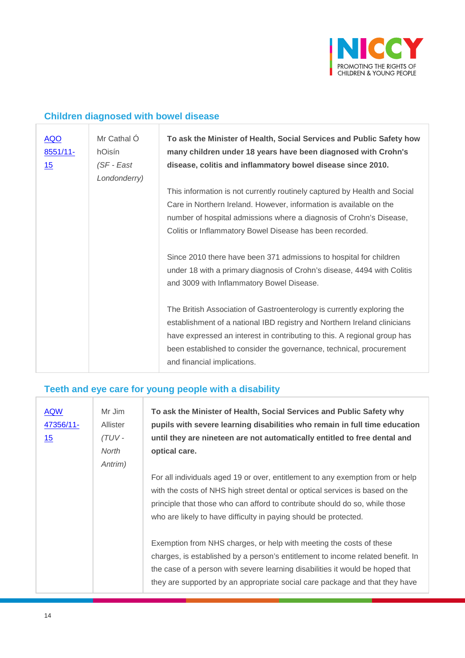

### **Children diagnosed with bowel disease**

| <b>AQO</b><br>$8551/11$ -<br>15 | Mr Cathal Ó<br>hOisín<br>(SF - East<br>Londonderry) | To ask the Minister of Health, Social Services and Public Safety how<br>many children under 18 years have been diagnosed with Crohn's<br>disease, colitis and inflammatory bowel disease since 2010.                                                                                                                                 |
|---------------------------------|-----------------------------------------------------|--------------------------------------------------------------------------------------------------------------------------------------------------------------------------------------------------------------------------------------------------------------------------------------------------------------------------------------|
|                                 |                                                     | This information is not currently routinely captured by Health and Social<br>Care in Northern Ireland. However, information is available on the<br>number of hospital admissions where a diagnosis of Crohn's Disease,<br>Colitis or Inflammatory Bowel Disease has been recorded.                                                   |
|                                 |                                                     | Since 2010 there have been 371 admissions to hospital for children<br>under 18 with a primary diagnosis of Crohn's disease, 4494 with Colitis<br>and 3009 with Inflammatory Bowel Disease.                                                                                                                                           |
|                                 |                                                     | The British Association of Gastroenterology is currently exploring the<br>establishment of a national IBD registry and Northern Ireland clinicians<br>have expressed an interest in contributing to this. A regional group has<br>been established to consider the governance, technical, procurement<br>and financial implications. |

#### **Teeth and eye care for young people with a disability**

| <b>AQW</b><br>47356/11-<br>15 | Mr Jim<br><b>Allister</b><br>$(TUV -$<br>North<br>Antrim) | To ask the Minister of Health, Social Services and Public Safety why<br>pupils with severe learning disabilities who remain in full time education<br>until they are nineteen are not automatically entitled to free dental and<br>optical care.                                                                       |
|-------------------------------|-----------------------------------------------------------|------------------------------------------------------------------------------------------------------------------------------------------------------------------------------------------------------------------------------------------------------------------------------------------------------------------------|
|                               |                                                           | For all individuals aged 19 or over, entitlement to any exemption from or help<br>with the costs of NHS high street dental or optical services is based on the<br>principle that those who can afford to contribute should do so, while those<br>who are likely to have difficulty in paying should be protected.      |
|                               |                                                           | Exemption from NHS charges, or help with meeting the costs of these<br>charges, is established by a person's entitlement to income related benefit. In<br>the case of a person with severe learning disabilities it would be hoped that<br>they are supported by an appropriate social care package and that they have |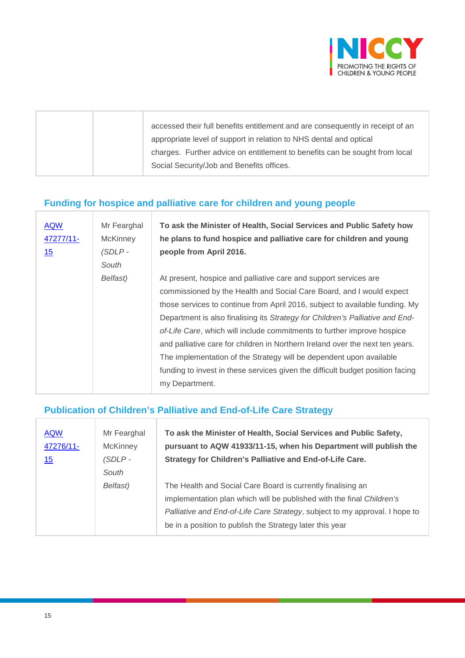

| accessed their full benefits entitlement and are consequently in receipt of an |
|--------------------------------------------------------------------------------|
| appropriate level of support in relation to NHS dental and optical             |
| charges. Further advice on entitlement to benefits can be sought from local    |
| Social Security/Job and Benefits offices.                                      |

# **Funding for hospice and palliative care for children and young people**

| <b>AQW</b><br>47277/11-<br><u>15</u> | Mr Fearghal<br><b>McKinney</b><br>(SDLP-<br>South | To ask the Minister of Health, Social Services and Public Safety how<br>he plans to fund hospice and palliative care for children and young<br>people from April 2016. |
|--------------------------------------|---------------------------------------------------|------------------------------------------------------------------------------------------------------------------------------------------------------------------------|
|                                      | Belfast)                                          | At present, hospice and palliative care and support services are                                                                                                       |
|                                      |                                                   | commissioned by the Health and Social Care Board, and I would expect                                                                                                   |
|                                      |                                                   | those services to continue from April 2016, subject to available funding. My                                                                                           |
|                                      |                                                   | Department is also finalising its Strategy for Children's Palliative and End-                                                                                          |
|                                      |                                                   | of-Life Care, which will include commitments to further improve hospice                                                                                                |
|                                      |                                                   | and palliative care for children in Northern Ireland over the next ten years.                                                                                          |
|                                      |                                                   | The implementation of the Strategy will be dependent upon available                                                                                                    |
|                                      |                                                   | funding to invest in these services given the difficult budget position facing                                                                                         |
|                                      |                                                   | my Department.                                                                                                                                                         |

### **Publication of Children's Palliative and End-of-Life Care Strategy**

| <b>AQW</b><br>47276/11-<br>15 | Mr Fearghal<br><b>McKinney</b><br>$(SDLP -$<br>South | To ask the Minister of Health, Social Services and Public Safety,<br>pursuant to AQW 41933/11-15, when his Department will publish the<br>Strategy for Children's Palliative and End-of-Life Care.                                                                              |
|-------------------------------|------------------------------------------------------|---------------------------------------------------------------------------------------------------------------------------------------------------------------------------------------------------------------------------------------------------------------------------------|
|                               | Belfast)                                             | The Health and Social Care Board is currently finalising an<br>implementation plan which will be published with the final Children's<br>Palliative and End-of-Life Care Strategy, subject to my approval. I hope to<br>be in a position to publish the Strategy later this year |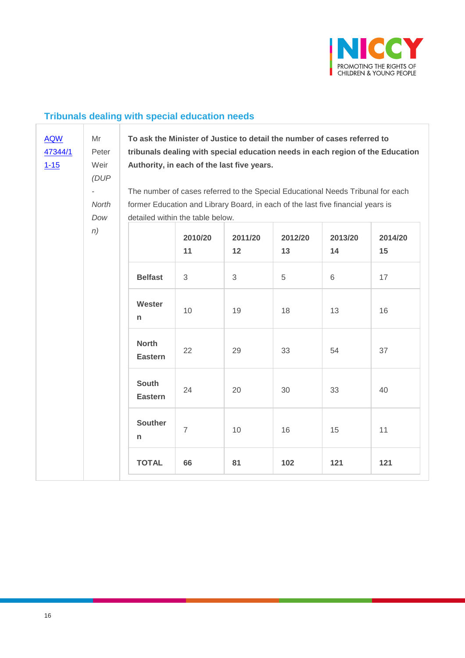

## **Tribunals dealing with special education needs**

| <b>AQW</b><br>47344/1<br>$1 - 15$ | Mr<br>Peter<br>Weir<br>(DUP)<br>÷,<br>North<br>Dow | To ask the Minister of Justice to detail the number of cases referred to<br>tribunals dealing with special education needs in each region of the Education<br>Authority, in each of the last five years.<br>The number of cases referred to the Special Educational Needs Tribunal for each<br>former Education and Library Board, in each of the last five financial years is<br>detailed within the table below. |                |               |               |               |               |
|-----------------------------------|----------------------------------------------------|--------------------------------------------------------------------------------------------------------------------------------------------------------------------------------------------------------------------------------------------------------------------------------------------------------------------------------------------------------------------------------------------------------------------|----------------|---------------|---------------|---------------|---------------|
| n)                                |                                                    |                                                                                                                                                                                                                                                                                                                                                                                                                    | 2010/20<br>11  | 2011/20<br>12 | 2012/20<br>13 | 2013/20<br>14 | 2014/20<br>15 |
|                                   |                                                    | <b>Belfast</b>                                                                                                                                                                                                                                                                                                                                                                                                     | 3              | 3             | 5             | 6             | 17            |
|                                   |                                                    | Wester<br>n                                                                                                                                                                                                                                                                                                                                                                                                        | 10             | 19            | 18            | 13            | 16            |
|                                   |                                                    | <b>North</b><br><b>Eastern</b>                                                                                                                                                                                                                                                                                                                                                                                     | 22             | 29            | 33            | 54            | 37            |
|                                   |                                                    | <b>South</b><br><b>Eastern</b><br><b>Souther</b><br>n                                                                                                                                                                                                                                                                                                                                                              | 24             | 20            | 30            | 33            | 40            |
|                                   |                                                    |                                                                                                                                                                                                                                                                                                                                                                                                                    | $\overline{7}$ | 10            | 16            | 15            | 11            |
|                                   |                                                    | <b>TOTAL</b>                                                                                                                                                                                                                                                                                                                                                                                                       | 66             | 81            | 102           | 121           | 121           |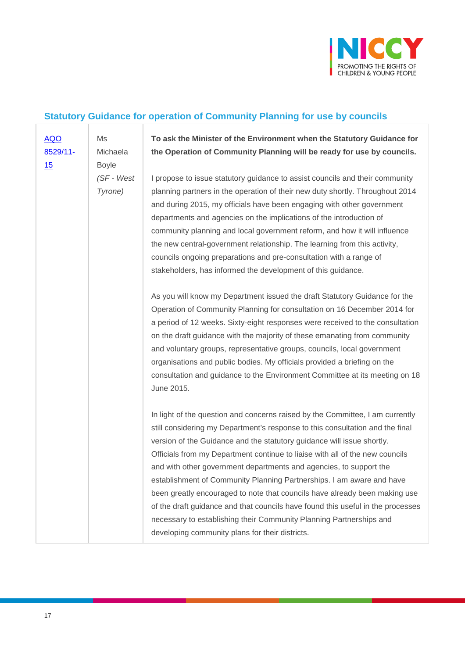

# **Statutory Guidance for operation of Community Planning for use by councils**

| <b>AQO</b><br>8529/11-<br>15 | Ms<br>Michaela<br><b>Boyle</b> | To ask the Minister of the Environment when the Statutory Guidance for<br>the Operation of Community Planning will be ready for use by councils.                                                                                                                                                                                                                                                                                                                                                                                                                                                                                                                                                                                                                   |
|------------------------------|--------------------------------|--------------------------------------------------------------------------------------------------------------------------------------------------------------------------------------------------------------------------------------------------------------------------------------------------------------------------------------------------------------------------------------------------------------------------------------------------------------------------------------------------------------------------------------------------------------------------------------------------------------------------------------------------------------------------------------------------------------------------------------------------------------------|
|                              | $(SF - West)$<br>Tyrone)       | I propose to issue statutory guidance to assist councils and their community<br>planning partners in the operation of their new duty shortly. Throughout 2014<br>and during 2015, my officials have been engaging with other government<br>departments and agencies on the implications of the introduction of<br>community planning and local government reform, and how it will influence<br>the new central-government relationship. The learning from this activity,<br>councils ongoing preparations and pre-consultation with a range of<br>stakeholders, has informed the development of this guidance.                                                                                                                                                     |
|                              |                                | As you will know my Department issued the draft Statutory Guidance for the<br>Operation of Community Planning for consultation on 16 December 2014 for<br>a period of 12 weeks. Sixty-eight responses were received to the consultation<br>on the draft guidance with the majority of these emanating from community<br>and voluntary groups, representative groups, councils, local government<br>organisations and public bodies. My officials provided a briefing on the<br>consultation and guidance to the Environment Committee at its meeting on 18<br>June 2015.                                                                                                                                                                                           |
|                              |                                | In light of the question and concerns raised by the Committee, I am currently<br>still considering my Department's response to this consultation and the final<br>version of the Guidance and the statutory guidance will issue shortly.<br>Officials from my Department continue to liaise with all of the new councils<br>and with other government departments and agencies, to support the<br>establishment of Community Planning Partnerships. I am aware and have<br>been greatly encouraged to note that councils have already been making use<br>of the draft guidance and that councils have found this useful in the processes<br>necessary to establishing their Community Planning Partnerships and<br>developing community plans for their districts. |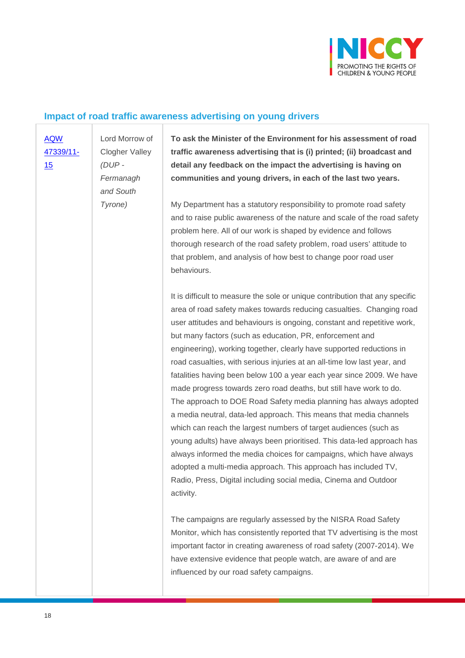

#### **Impact of road traffic awareness advertising on young drivers**

[AQW](javascript:__doPostBack()  [47339/11-](javascript:__doPostBack() [15](javascript:__doPostBack()

Lord Morrow of Clogher Valley *(DUP - Fermanagh and South Tyrone)*

**To ask the Minister of the Environment for his assessment of road traffic awareness advertising that is (i) printed; (ii) broadcast and detail any feedback on the impact the advertising is having on communities and young drivers, in each of the last two years.** 

My Department has a statutory responsibility to promote road safety and to raise public awareness of the nature and scale of the road safety problem here. All of our work is shaped by evidence and follows thorough research of the road safety problem, road users' attitude to that problem, and analysis of how best to change poor road user behaviours.

It is difficult to measure the sole or unique contribution that any specific area of road safety makes towards reducing casualties. Changing road user attitudes and behaviours is ongoing, constant and repetitive work, but many factors (such as education, PR, enforcement and engineering), working together, clearly have supported reductions in road casualties, with serious injuries at an all-time low last year, and fatalities having been below 100 a year each year since 2009. We have made progress towards zero road deaths, but still have work to do. The approach to DOE Road Safety media planning has always adopted a media neutral, data-led approach. This means that media channels which can reach the largest numbers of target audiences (such as young adults) have always been prioritised. This data-led approach has always informed the media choices for campaigns, which have always adopted a multi-media approach. This approach has included TV, Radio, Press, Digital including social media, Cinema and Outdoor activity.

The campaigns are regularly assessed by the NISRA Road Safety Monitor, which has consistently reported that TV advertising is the most important factor in creating awareness of road safety (2007-2014). We have extensive evidence that people watch, are aware of and are influenced by our road safety campaigns.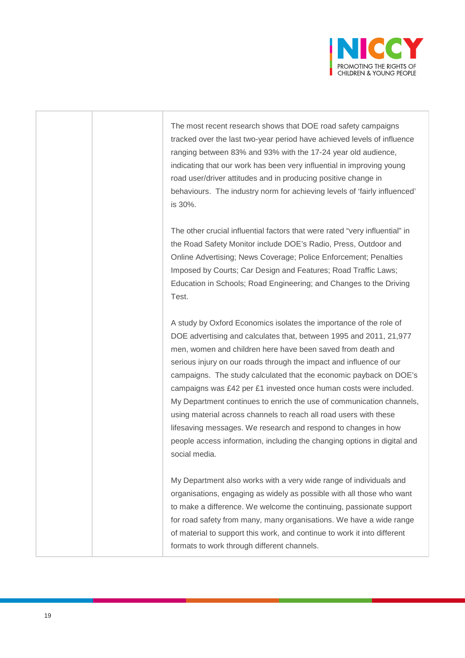

The most recent research shows that DOE road safety campaigns tracked over the last two-year period have achieved levels of influence ranging between 83% and 93% with the 17-24 year old audience, indicating that our work has been very influential in improving young road user/driver attitudes and in producing positive change in behaviours. The industry norm for achieving levels of 'fairly influenced' is 30%.

The other crucial influential factors that were rated "very influential" in the Road Safety Monitor include DOE's Radio, Press, Outdoor and Online Advertising; News Coverage; Police Enforcement; Penalties Imposed by Courts; Car Design and Features; Road Traffic Laws; Education in Schools; Road Engineering; and Changes to the Driving Test.

A study by Oxford Economics isolates the importance of the role of DOE advertising and calculates that, between 1995 and 2011, 21,977 men, women and children here have been saved from death and serious injury on our roads through the impact and influence of our campaigns. The study calculated that the economic payback on DOE's campaigns was £42 per £1 invested once human costs were included. My Department continues to enrich the use of communication channels, using material across channels to reach all road users with these lifesaving messages. We research and respond to changes in how people access information, including the changing options in digital and social media.

My Department also works with a very wide range of individuals and organisations, engaging as widely as possible with all those who want to make a difference. We welcome the continuing, passionate support for road safety from many, many organisations. We have a wide range of material to support this work, and continue to work it into different formats to work through different channels.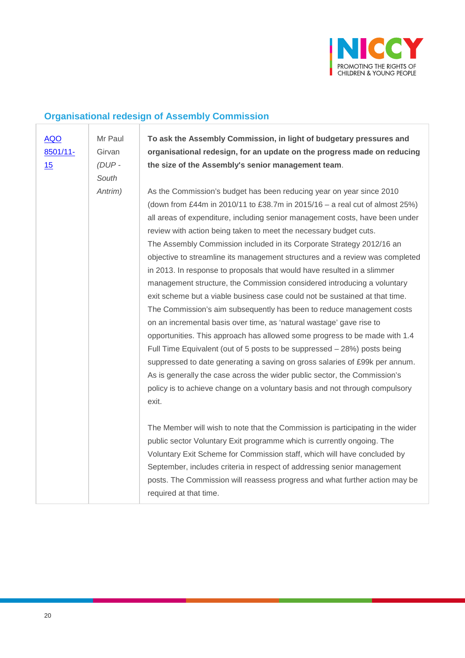

#### **Organisational redesign of Assembly Commission**

[AQO](javascript:__doPostBack()  [8501/11-](javascript:__doPostBack() [15](javascript:__doPostBack() Mr Paul

Girvan *(DUP - South* 

*Antrim)*

**To ask the Assembly Commission, in light of budgetary pressures and organisational redesign, for an update on the progress made on reducing the size of the Assembly's senior management team**.

As the Commission's budget has been reducing year on year since 2010 (down from £44m in 2010/11 to £38.7m in 2015/16 – a real cut of almost 25%) all areas of expenditure, including senior management costs, have been under review with action being taken to meet the necessary budget cuts. The Assembly Commission included in its Corporate Strategy 2012/16 an objective to streamline its management structures and a review was completed in 2013. In response to proposals that would have resulted in a slimmer management structure, the Commission considered introducing a voluntary exit scheme but a viable business case could not be sustained at that time. The Commission's aim subsequently has been to reduce management costs on an incremental basis over time, as 'natural wastage' gave rise to opportunities. This approach has allowed some progress to be made with 1.4 Full Time Equivalent (out of 5 posts to be suppressed – 28%) posts being suppressed to date generating a saving on gross salaries of £99k per annum. As is generally the case across the wider public sector, the Commission's policy is to achieve change on a voluntary basis and not through compulsory exit.

The Member will wish to note that the Commission is participating in the wider public sector Voluntary Exit programme which is currently ongoing. The Voluntary Exit Scheme for Commission staff, which will have concluded by September, includes criteria in respect of addressing senior management posts. The Commission will reassess progress and what further action may be required at that time.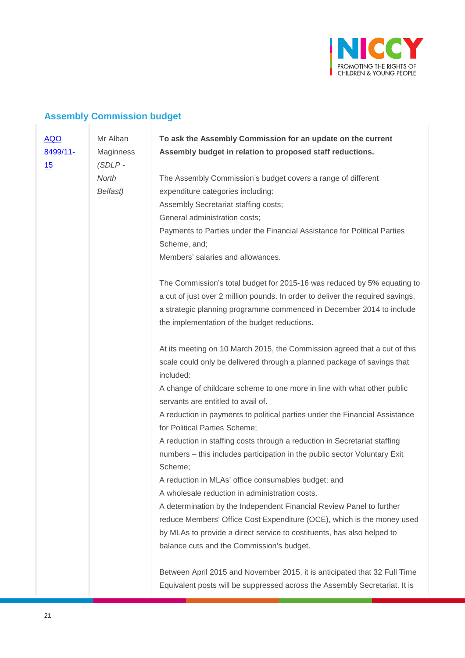

## **Assembly Commission budget**

| <b>AQO</b><br>8499/11- | Mr Alban<br>Maginness | To ask the Assembly Commission for an update on the current<br>Assembly budget in relation to proposed staff reductions. |
|------------------------|-----------------------|--------------------------------------------------------------------------------------------------------------------------|
| 15                     | $(SDLP -$             |                                                                                                                          |
|                        | North                 | The Assembly Commission's budget covers a range of different                                                             |
|                        | Belfast)              | expenditure categories including:                                                                                        |
|                        |                       | Assembly Secretariat staffing costs;                                                                                     |
|                        |                       | General administration costs;                                                                                            |
|                        |                       | Payments to Parties under the Financial Assistance for Political Parties                                                 |
|                        |                       | Scheme, and;                                                                                                             |
|                        |                       | Members' salaries and allowances.                                                                                        |
|                        |                       | The Commission's total budget for 2015-16 was reduced by 5% equating to                                                  |
|                        |                       | a cut of just over 2 million pounds. In order to deliver the required savings,                                           |
|                        |                       | a strategic planning programme commenced in December 2014 to include                                                     |
|                        |                       | the implementation of the budget reductions.                                                                             |
|                        |                       | At its meeting on 10 March 2015, the Commission agreed that a cut of this                                                |
|                        |                       | scale could only be delivered through a planned package of savings that                                                  |
|                        |                       | included:                                                                                                                |
|                        |                       | A change of childcare scheme to one more in line with what other public                                                  |
|                        |                       | servants are entitled to avail of.                                                                                       |
|                        |                       | A reduction in payments to political parties under the Financial Assistance                                              |
|                        |                       | for Political Parties Scheme;                                                                                            |
|                        |                       | A reduction in staffing costs through a reduction in Secretariat staffing                                                |
|                        |                       | numbers – this includes participation in the public sector Voluntary Exit                                                |
|                        |                       | Scheme;                                                                                                                  |
|                        |                       | A reduction in MLAs' office consumables budget; and                                                                      |
|                        |                       | A wholesale reduction in administration costs.                                                                           |
|                        |                       | A determination by the Independent Financial Review Panel to further                                                     |
|                        |                       | reduce Members' Office Cost Expenditure (OCE), which is the money used                                                   |
|                        |                       | by MLAs to provide a direct service to costituents, has also helped to                                                   |
|                        |                       | balance cuts and the Commission's budget.                                                                                |
|                        |                       | Between April 2015 and November 2015, it is anticipated that 32 Full Time                                                |
|                        |                       | Equivalent posts will be suppressed across the Assembly Secretariat. It is                                               |